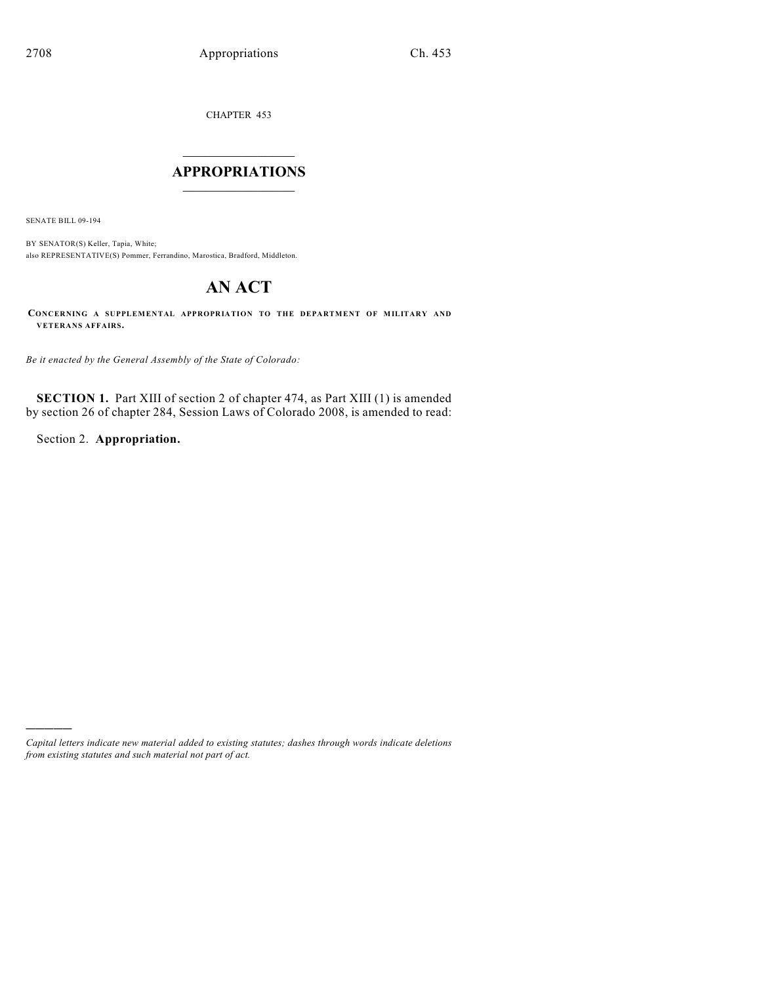CHAPTER 453

## $\overline{\phantom{a}}$  . The set of the set of the set of the set of the set of the set of the set of the set of the set of the set of the set of the set of the set of the set of the set of the set of the set of the set of the set o **APPROPRIATIONS**  $\_$   $\_$

SENATE BILL 09-194

)))))

BY SENATOR(S) Keller, Tapia, White; also REPRESENTATIVE(S) Pommer, Ferrandino, Marostica, Bradford, Middleton.

# **AN ACT**

**CONCERNING A SUPPLEMENTAL APPROPRIATION TO THE DEPARTMENT OF MILITARY AND VETERANS AFFAIRS.**

*Be it enacted by the General Assembly of the State of Colorado:*

**SECTION 1.** Part XIII of section 2 of chapter 474, as Part XIII (1) is amended by section 26 of chapter 284, Session Laws of Colorado 2008, is amended to read:

Section 2. **Appropriation.**

*Capital letters indicate new material added to existing statutes; dashes through words indicate deletions from existing statutes and such material not part of act.*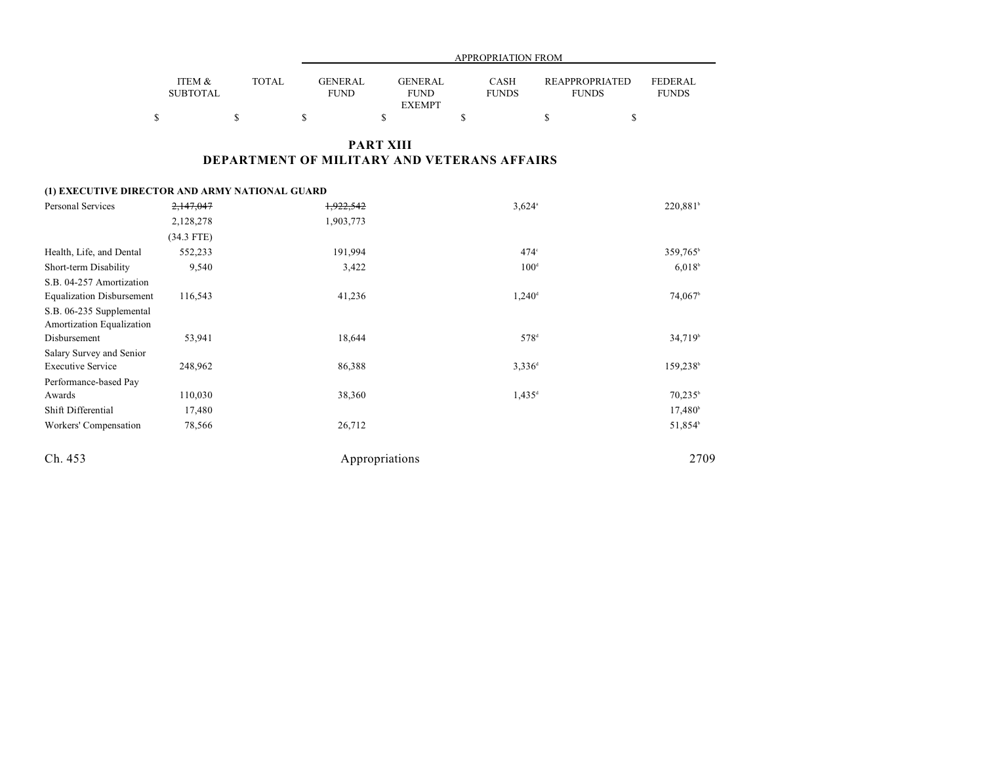|                           |              |                               | APPROPRIATION FROM                             |                             |                                       |                         |  |  |  |
|---------------------------|--------------|-------------------------------|------------------------------------------------|-----------------------------|---------------------------------------|-------------------------|--|--|--|
| ITEM &<br><b>SUBTOTAL</b> | <b>TOTAL</b> | <b>GENERAL</b><br><b>FUND</b> | <b>GENERAL</b><br><b>FUND</b><br><b>EXEMPT</b> | <b>CASH</b><br><b>FUNDS</b> | <b>REAPPROPRIATED</b><br><b>FUNDS</b> | FEDERAL<br><b>FUNDS</b> |  |  |  |
|                           |              |                               |                                                |                             |                                       |                         |  |  |  |

## **PART XIII DEPARTMENT OF MILITARY AND VETERANS AFFAIRS**

#### **(1) EXECUTIVE DIRECTOR AND ARMY NATIONAL GUARD**

| Personal Services                                     | 2,147,047    | 1,922,542      | $3,624$ <sup>a</sup> | 220,881 <sup>b</sup> |
|-------------------------------------------------------|--------------|----------------|----------------------|----------------------|
|                                                       | 2,128,278    | 1,903,773      |                      |                      |
|                                                       | $(34.3$ FTE) |                |                      |                      |
| Health, Life, and Dental                              | 552,233      | 191,994        | $474^\circ$          | 359,765 <sup>b</sup> |
| Short-term Disability                                 | 9,540        | 3,422          | 100 <sup>d</sup>     | $6,018^b$            |
| S.B. 04-257 Amortization                              |              |                |                      |                      |
| <b>Equalization Disbursement</b>                      | 116,543      | 41,236         | 1,240 <sup>d</sup>   | 74,067 <sup>b</sup>  |
| S.B. 06-235 Supplemental<br>Amortization Equalization |              |                |                      |                      |
| Disbursement                                          | 53,941       | 18,644         | 578 <sup>d</sup>     | 34,719 <sup>b</sup>  |
| Salary Survey and Senior                              |              |                |                      |                      |
| <b>Executive Service</b>                              | 248,962      | 86,388         | $3,336$ <sup>d</sup> | 159,238              |
| Performance-based Pay                                 |              |                |                      |                      |
| Awards                                                | 110,030      | 38,360         | $1,435$ <sup>d</sup> | $70,235^{\rm b}$     |
| Shift Differential                                    | 17,480       |                |                      | $17,480^{\circ}$     |
| Workers' Compensation                                 | 78,566       | 26,712         |                      | 51,854 <sup>b</sup>  |
| Ch. 453                                               |              | Appropriations |                      | 2709                 |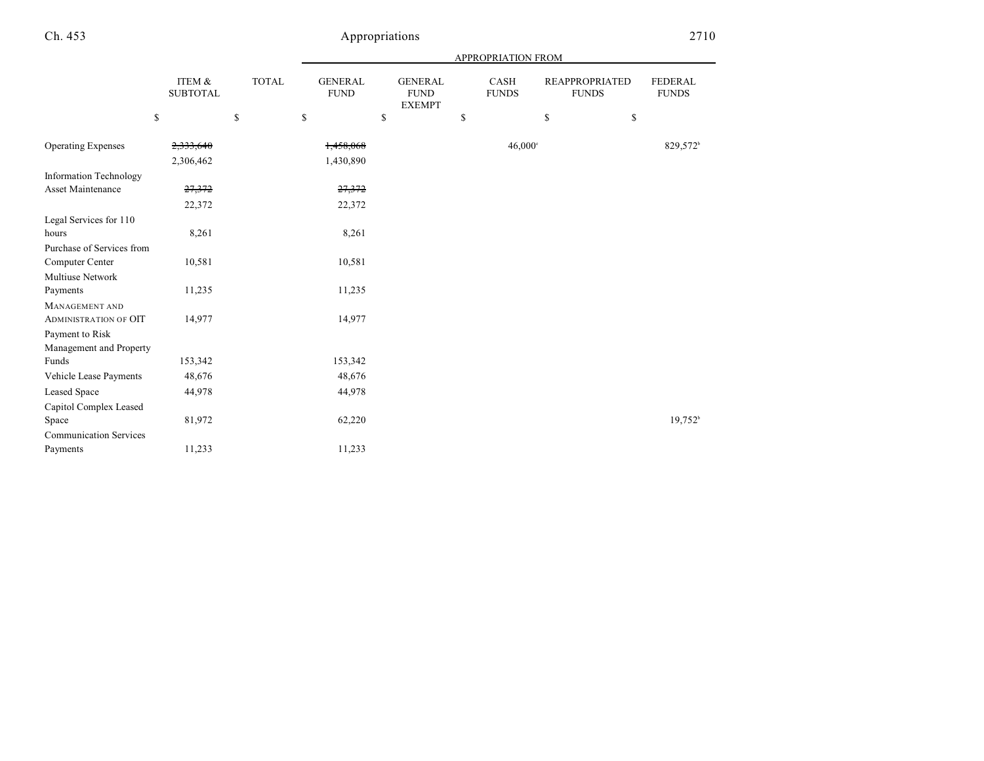## Ch. 453 Appropriations

|                               |                           |              | APPROPRIATION FROM            |                                                |                      |    |                                       |                       |
|-------------------------------|---------------------------|--------------|-------------------------------|------------------------------------------------|----------------------|----|---------------------------------------|-----------------------|
|                               | ITEM &<br><b>SUBTOTAL</b> | <b>TOTAL</b> | <b>GENERAL</b><br><b>FUND</b> | <b>GENERAL</b><br><b>FUND</b><br><b>EXEMPT</b> | CASH<br><b>FUNDS</b> |    | <b>REAPPROPRIATED</b><br><b>FUNDS</b> |                       |
|                               | \$                        | $\mathbb{S}$ | \$                            | \$                                             | \$                   | \$ | \$                                    |                       |
| <b>Operating Expenses</b>     | 2,333,640                 |              | 1,458,068                     |                                                | $46,000$ °           |    |                                       | 829,572 <sup>b</sup>  |
|                               | 2,306,462                 |              | 1,430,890                     |                                                |                      |    |                                       |                       |
| <b>Information Technology</b> |                           |              |                               |                                                |                      |    |                                       |                       |
| Asset Maintenance             | 27,372                    |              | 27,372                        |                                                |                      |    |                                       |                       |
|                               | 22,372                    |              | 22,372                        |                                                |                      |    |                                       |                       |
| Legal Services for 110        |                           |              |                               |                                                |                      |    |                                       |                       |
| hours                         | 8,261                     |              | 8,261                         |                                                |                      |    |                                       |                       |
| Purchase of Services from     |                           |              |                               |                                                |                      |    |                                       |                       |
| Computer Center               | 10,581                    |              | 10,581                        |                                                |                      |    |                                       |                       |
| <b>Multiuse Network</b>       |                           |              |                               |                                                |                      |    |                                       |                       |
| Payments                      | 11,235                    |              | 11,235                        |                                                |                      |    |                                       |                       |
| MANAGEMENT AND                |                           |              |                               |                                                |                      |    |                                       |                       |
| <b>ADMINISTRATION OF OIT</b>  | 14,977                    |              | 14,977                        |                                                |                      |    |                                       |                       |
| Payment to Risk               |                           |              |                               |                                                |                      |    |                                       |                       |
| Management and Property       |                           |              |                               |                                                |                      |    |                                       |                       |
| Funds                         | 153,342                   |              | 153,342                       |                                                |                      |    |                                       |                       |
| Vehicle Lease Payments        | 48,676                    |              | 48,676                        |                                                |                      |    |                                       |                       |
| <b>Leased Space</b>           | 44,978                    |              | 44,978                        |                                                |                      |    |                                       |                       |
| Capitol Complex Leased        |                           |              |                               |                                                |                      |    |                                       |                       |
| Space                         | 81,972                    |              | 62,220                        |                                                |                      |    |                                       | $19,752$ <sup>b</sup> |
| <b>Communication Services</b> |                           |              |                               |                                                |                      |    |                                       |                       |
| Payments                      | 11,233                    |              | 11,233                        |                                                |                      |    |                                       |                       |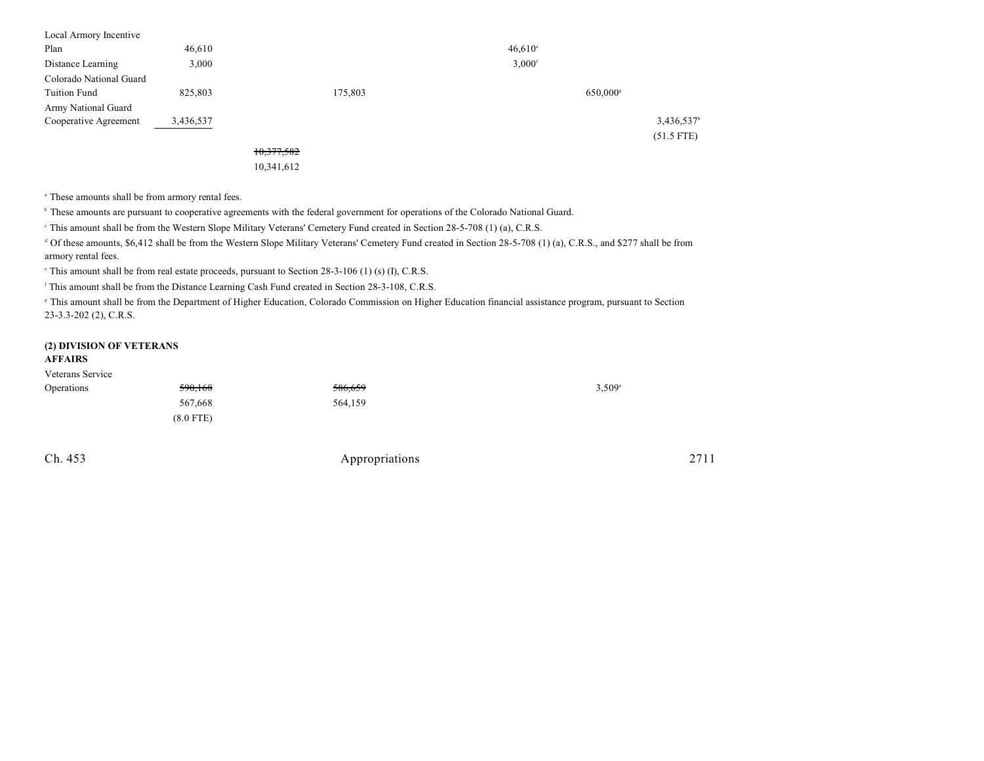| Local Armory Incentive  |           |            |         |                      |                      |                          |
|-------------------------|-----------|------------|---------|----------------------|----------------------|--------------------------|
| Plan                    | 46,610    |            |         | $46,610^{\circ}$     |                      |                          |
| Distance Learning       | 3,000     |            |         | $3,000$ <sup>f</sup> |                      |                          |
| Colorado National Guard |           |            |         |                      |                      |                          |
| <b>Tuition Fund</b>     | 825,803   |            | 175,803 |                      | 650,000 <sup>s</sup> |                          |
| Army National Guard     |           |            |         |                      |                      |                          |
| Cooperative Agreement   | 3,436,537 |            |         |                      |                      | $3,436,537$ <sup>t</sup> |
|                         |           |            |         |                      |                      | $(51.5$ FTE)             |
|                         |           | 10,377,582 |         |                      |                      |                          |

10,341,612

<sup>a</sup> These amounts shall be from armory rental fees.

<sup>b</sup> These amounts are pursuant to cooperative agreements with the federal government for operations of the Colorado National Guard.

<sup>e</sup> This amount shall be from the Western Slope Military Veterans' Cemetery Fund created in Section 28-5-708 (1) (a), C.R.S.

<sup>d</sup> Of these amounts, \$6,412 shall be from the Western Slope Military Veterans' Cemetery Fund created in Section 28-5-708 (1) (a), C.R.S., and \$277 shall be from armory rental fees.

 $\degree$  This amount shall be from real estate proceeds, pursuant to Section 28-3-106 (1) (s) (I), C.R.S.

<sup>f</sup> This amount shall be from the Distance Learning Cash Fund created in Section 28-3-108, C.R.S.

<sup>8</sup> This amount shall be from the Department of Higher Education, Colorado Commission on Higher Education financial assistance program, pursuant to Section 23-3.3-202 (2), C.R.S.

### **(2) DIVISION OF VETERANS**

#### **AFFAIRS**

| Veterans Service |             |         |                      |
|------------------|-------------|---------|----------------------|
| Operations       | 590,168     | 586,659 | $3,509$ <sup>a</sup> |
|                  | 567,668     | 564,159 |                      |
|                  | $(8.0$ FTE) |         |                      |
|                  |             |         |                      |

Ch. 453 Appropriations 2711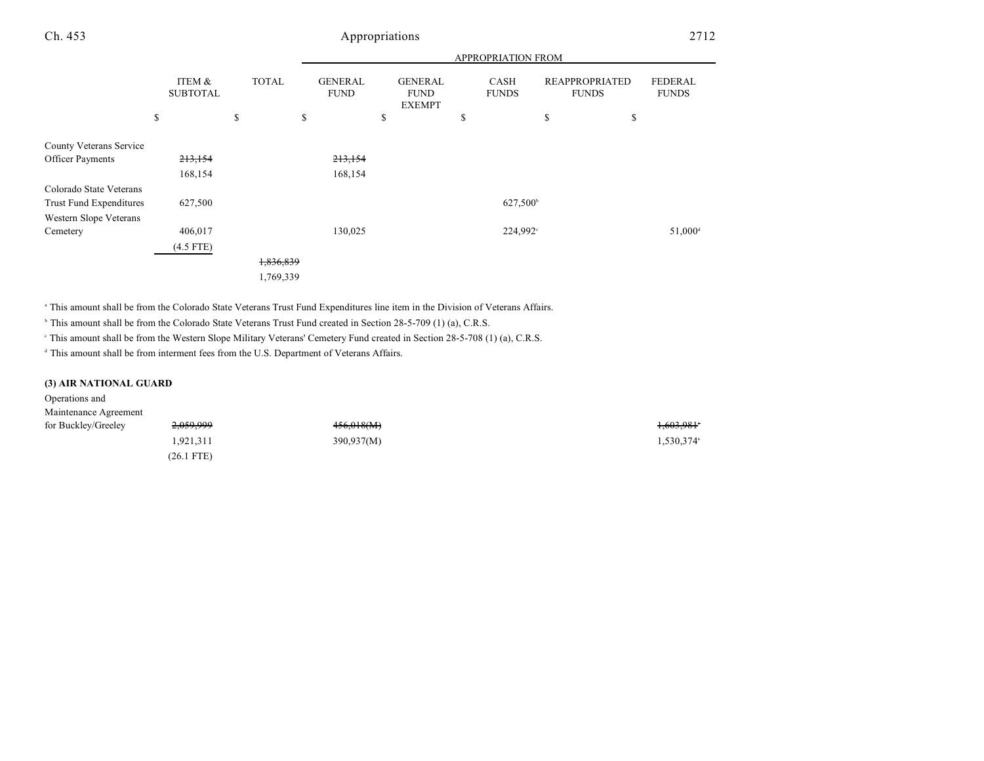## Ch. 453 Appropriations 2712

|                         |                           |              |                               | APPROPRIATION FROM                             |                      |                      |                                                                  |  |
|-------------------------|---------------------------|--------------|-------------------------------|------------------------------------------------|----------------------|----------------------|------------------------------------------------------------------|--|
|                         | ITEM &<br><b>SUBTOTAL</b> | <b>TOTAL</b> | <b>GENERAL</b><br><b>FUND</b> | <b>GENERAL</b><br><b>FUND</b><br><b>EXEMPT</b> | CASH<br><b>FUNDS</b> |                      | <b>FEDERAL</b><br>REAPPROPRIATED<br><b>FUNDS</b><br><b>FUNDS</b> |  |
|                         | \$                        | \$           | \$                            | \$                                             | \$                   | \$                   | \$                                                               |  |
| County Veterans Service |                           |              |                               |                                                |                      |                      |                                                                  |  |
| <b>Officer Payments</b> | 213,154                   |              | 213,154                       |                                                |                      |                      |                                                                  |  |
|                         | 168,154                   |              | 168,154                       |                                                |                      |                      |                                                                  |  |
| Colorado State Veterans |                           |              |                               |                                                |                      |                      |                                                                  |  |
| Trust Fund Expenditures | 627,500                   |              |                               |                                                |                      | 627,500 <sup>b</sup> |                                                                  |  |
| Western Slope Veterans  |                           |              |                               |                                                |                      |                      |                                                                  |  |
| Cemetery                | 406,017                   |              | 130,025                       |                                                |                      | 224,992 <sup>c</sup> | 51,000 <sup>d</sup>                                              |  |
|                         | $(4.5$ FTE)               |              |                               |                                                |                      |                      |                                                                  |  |
|                         |                           | 1,836,839    |                               |                                                |                      |                      |                                                                  |  |
|                         |                           | 1,769,339    |                               |                                                |                      |                      |                                                                  |  |

<sup>a</sup> This amount shall be from the Colorado State Veterans Trust Fund Expenditures line item in the Division of Veterans Affairs.

<sup>b</sup> This amount shall be from the Colorado State Veterans Trust Fund created in Section 28-5-709 (1) (a), C.R.S.

This amount shall be from the Western Slope Military Veterans' Cemetery Fund created in Section 28-5-708 (1) (a), C.R.S. <sup>c</sup>

<sup>d</sup> This amount shall be from interment fees from the U.S. Department of Veterans Affairs.

#### **(3) AIR NATIONAL GUARD**

### Operations and Maintenance Agreement for Buckley/Greeley  $2,059,999$   $456,018(M)$   $456,018(M)$ 1,921,311 390,937(M) 1,530,374<sup>a</sup> (26.1 FTE)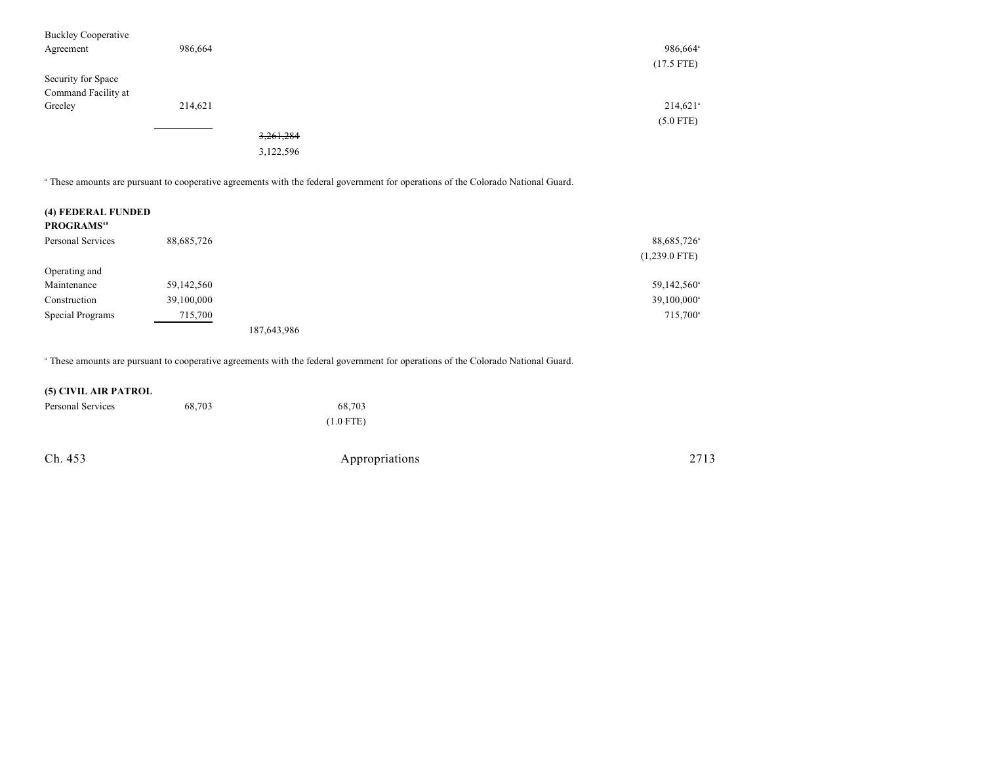| <b>Buckley Cooperative</b><br>Agreement   | 986,664 |           | 986,664 <sup>ª</sup><br>$(17.5$ FTE) |
|-------------------------------------------|---------|-----------|--------------------------------------|
| Security for Space<br>Command Facility at |         |           |                                      |
| Greeley                                   | 214,621 |           | $214,621$ <sup>a</sup>               |
|                                           |         |           | $(5.0$ FTE)                          |
|                                           |         | 3,261,284 |                                      |
|                                           |         | 3,122,596 |                                      |

These amounts are pursuant to cooperative agreements with the federal government for operations of the Colorado National Guard. <sup>a</sup>

| (4) FEDERAL FUNDED<br><b>PROGRAMS</b> <sup>48</sup> |            |             |                 |
|-----------------------------------------------------|------------|-------------|-----------------|
| Personal Services                                   | 88,685,726 |             | 88,685,726      |
|                                                     |            |             | $(1,239.0$ FTE) |
| Operating and                                       |            |             |                 |
| Maintenance                                         | 59,142,560 |             | 59,142,560°     |
| Construction                                        | 39,100,000 |             | 39,100,000      |
| Special Programs                                    | 715,700    |             | 715,700         |
|                                                     |            | 187,643,986 |                 |

These amounts are pursuant to cooperative agreements with the federal government for operations of the Colorado National Guard. <sup>a</sup>

#### **(5) CIVIL AIR PATROL**

| Personal Services | 68,703 | 68,703      |
|-------------------|--------|-------------|
|                   |        | $(1.0$ FTE) |

Ch. 453 Appropriations 2713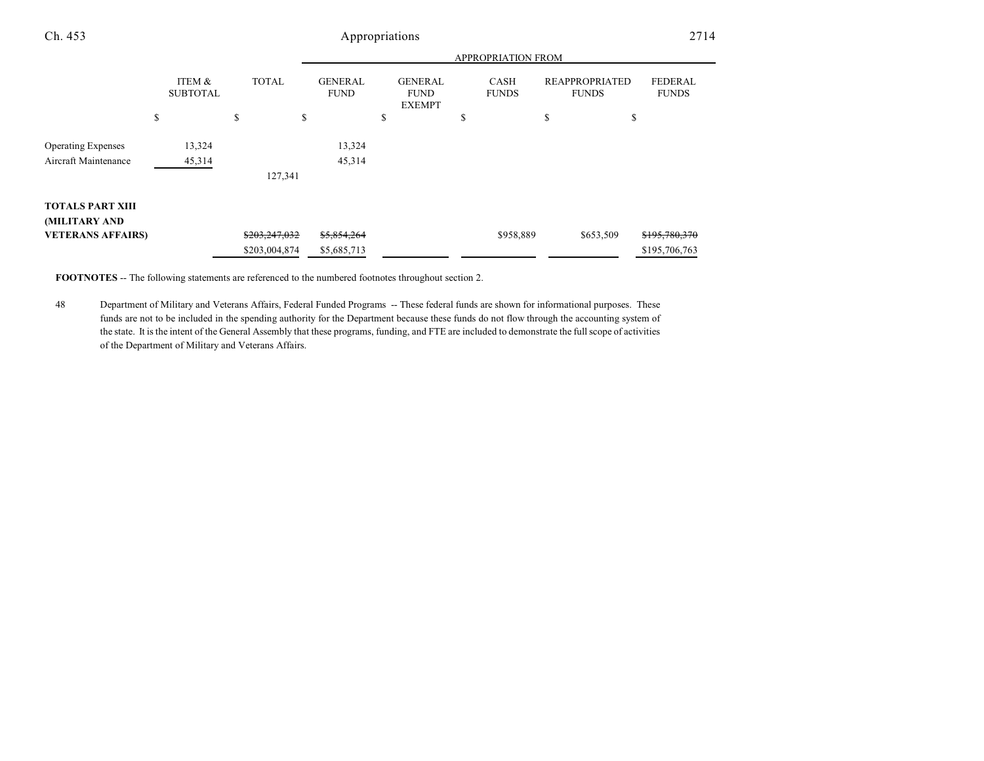| Ch. 453                   | Appropriations            |               |                               |                                                |                             |                                       | 2714                           |
|---------------------------|---------------------------|---------------|-------------------------------|------------------------------------------------|-----------------------------|---------------------------------------|--------------------------------|
|                           |                           |               |                               |                                                | APPROPRIATION FROM          |                                       |                                |
|                           | ITEM &<br><b>SUBTOTAL</b> | <b>TOTAL</b>  | <b>GENERAL</b><br><b>FUND</b> | <b>GENERAL</b><br><b>FUND</b><br><b>EXEMPT</b> | <b>CASH</b><br><b>FUNDS</b> | <b>REAPPROPRIATED</b><br><b>FUNDS</b> | <b>FEDERAL</b><br><b>FUNDS</b> |
|                           | \$                        | \$<br>\$      |                               | \$                                             | P                           | ch<br>P                               | \$                             |
| <b>Operating Expenses</b> | 13,324                    |               | 13,324                        |                                                |                             |                                       |                                |
| Aircraft Maintenance      | 45,314                    |               | 45,314                        |                                                |                             |                                       |                                |
|                           |                           | 127,341       |                               |                                                |                             |                                       |                                |
| <b>TOTALS PART XIII</b>   |                           |               |                               |                                                |                             |                                       |                                |
| (MILITARY AND             |                           |               |                               |                                                |                             |                                       |                                |
| <b>VETERANS AFFAIRS)</b>  |                           | \$203,247,032 | \$5,854,264                   |                                                | \$958,889                   | \$653,509                             | \$195,780,370                  |
|                           |                           | \$203,004,874 | \$5,685,713                   |                                                |                             |                                       | \$195,706,763                  |

**FOOTNOTES** -- The following statements are referenced to the numbered footnotes throughout section 2.

48 Department of Military and Veterans Affairs, Federal Funded Programs -- These federal funds are shown for informational purposes. These funds are not to be included in the spending authority for the Department because these funds do not flow through the accounting system of the state. It is the intent of the General Assembly that these programs, funding, and FTE are included to demonstrate the full scope of activities of the Department of Military and Veterans Affairs.